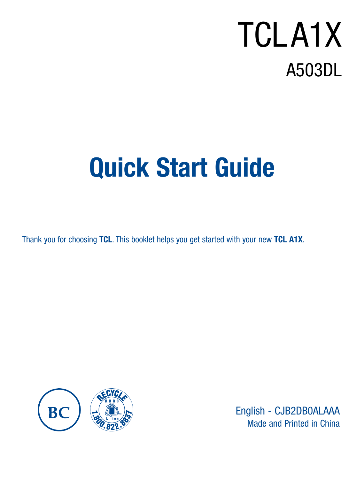# A503DL TCL A1X

# Quick Start Guide

Thank you for choosing TCL. This booklet helps you get started with your new TCL A1X.



English - CJB2DB0ALAAA Made and Printed in China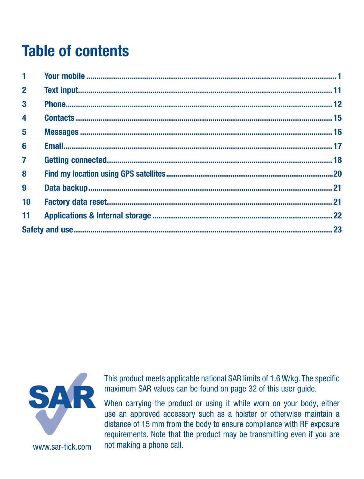# **Table of contents**

| $\blacksquare$ |  |
|----------------|--|
| $\overline{2}$ |  |
| $\mathbf{3}$   |  |
| $\overline{a}$ |  |
| 5              |  |
| 6              |  |
| $\overline{7}$ |  |
| 8              |  |
| 9              |  |
| 10             |  |
| 11             |  |
|                |  |
|                |  |



This product meets applicable national SAR limits of 1.6 W/kg. The specific maximum SAR values can be found on page 32 of this user guide.

When carrying the product or using it while worn on your body, either use an approved accessory such as a holster or otherwise maintain a distance of 15 mm from the body to ensure compliance with RF exposure requirements. Note that the product may be transmitting even if you are not making a phone call.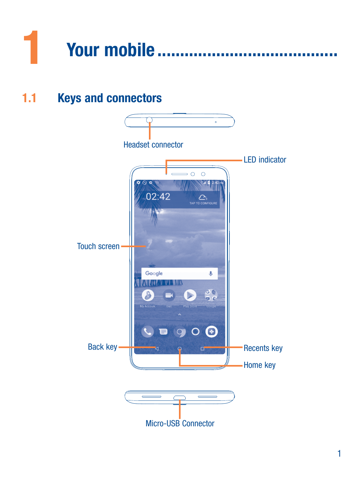# <span id="page-2-0"></span>

 $1.1<sub>1</sub>$ **Keys and connectors** 

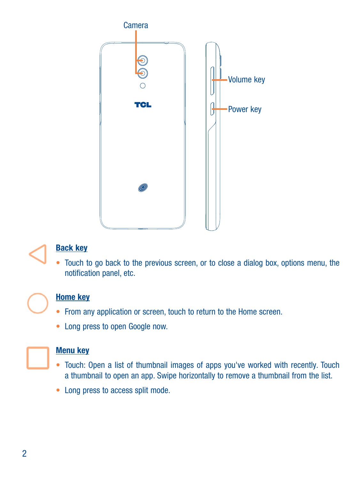

#### Back key

• Touch to go back to the previous screen, or to close a dialog box, options menu, the notification panel, etc.



#### Home key

- From any application or screen, touch to return to the Home screen.
- • Long press to open Google now.



#### Menu key

- Touch: Open a list of thumbnail images of apps you've worked with recently. Touch a thumbnail to open an app. Swipe horizontally to remove a thumbnail from the list.
- Long press to access split mode.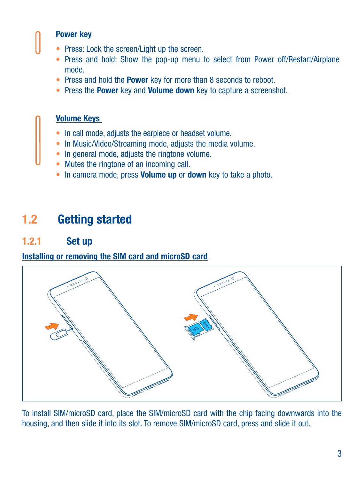### Power key

- Press: Lock the screen/Light up the screen.
- Press and hold: Show the pop-up menu to select from Power off/Restart/Airplane mode.
- Press and hold the Power key for more than 8 seconds to reboot.
- Press the Power key and Volume down key to capture a screenshot.

#### Volume Keys

- In call mode, adjusts the earpiece or headset volume.
- In Music/Video/Streaming mode, adjusts the media volume.
- In general mode, adjusts the ringtone volume.
- Mutes the ringtone of an incoming call.
- In camera mode, press **Volume up** or **down** key to take a photo.

# 1.2 Getting started

### 1.2.1 Set up

#### Installing or removing the SIM card and microSD card



To install SIM/microSD card, place the SIM/microSD card with the chip facing downwards into the housing, and then slide it into its slot. To remove SIM/microSD card, press and slide it out.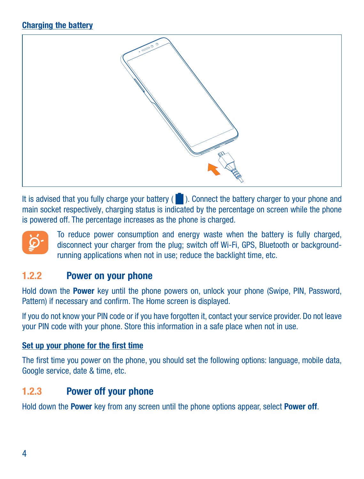#### Charging the battery



It is advised that you fully charge your battery ( $\Box$ ). Connect the battery charger to your phone and main socket respectively, charging status is indicated by the percentage on screen while the phone is powered off. The percentage increases as the phone is charged.



To reduce power consumption and energy waste when the battery is fully charged, disconnect your charger from the plug; switch off Wi-Fi, GPS, Bluetooth or backgroundrunning applications when not in use; reduce the backlight time, etc.

#### 1.2.2 Power on your phone

Hold down the Power key until the phone powers on, unlock your phone (Swipe, PIN, Password, Pattern) if necessary and confirm. The Home screen is displayed.

If you do not know your PIN code or if you have forgotten it, contact your service provider. Do not leave your PIN code with your phone. Store this information in a safe place when not in use.

#### Set up your phone for the first time

The first time you power on the phone, you should set the following options: language, mobile data, Google service, date & time, etc.

#### 1.2.3 Power off your phone

Hold down the Power key from any screen until the phone options appear, select Power off.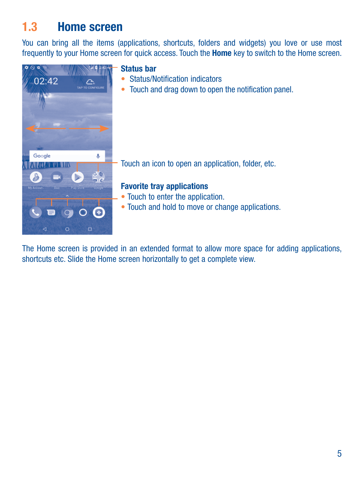## 1.3 Home screen

You can bring all the items (applications, shortcuts, folders and widgets) you love or use most frequently to your Home screen for quick access. Touch the Home key to switch to the Home screen.



The Home screen is provided in an extended format to allow more space for adding applications, shortcuts etc. Slide the Home screen horizontally to get a complete view.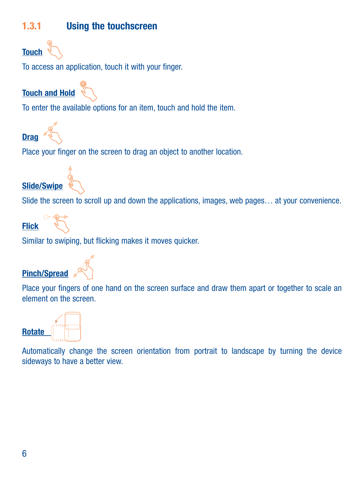#### 1.3.1 Using the touchscreen



To access an application, touch it with your finger.

Touch and Hold

To enter the available options for an item, touch and hold the item.

Drag

Place your finger on the screen to drag an object to another location.

Slide/Swipe

Slide the screen to scroll up and down the applications, images, web pages… at your convenience.

Flick



Similar to swiping, but flicking makes it moves quicker.

Pinch/Spread



Place your fingers of one hand on the screen surface and draw them apart or together to scale an element on the screen.



Automatically change the screen orientation from portrait to landscape by turning the device sideways to have a better view.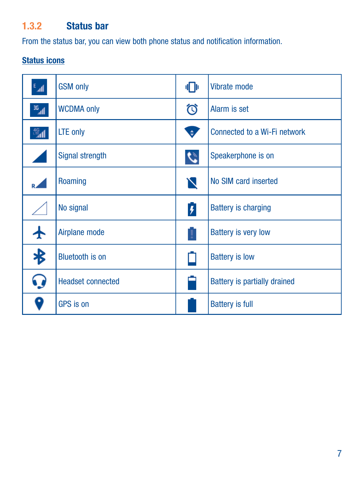## 1.3.2 Status bar

From the status bar, you can view both phone status and notification information.

#### Status icons

| $\mathbb{L}^3$ | <b>GSM only</b>          | ФÞ                      | Vibrate mode                 |
|----------------|--------------------------|-------------------------|------------------------------|
| $\mathbb{E}$   | <b>WCDMA only</b>        | গি                      | Alarm is set                 |
| 溫              | LTE only                 | Ø                       | Connected to a Wi-Fi network |
| ×              | Signal strength          | $\bm{c}$                | Speakerphone is on           |
|                | Roaming                  | N                       | No SIM card inserted         |
|                | No signal                | $\overline{\mathbf{r}}$ | <b>Battery is charging</b>   |
|                | Airplane mode            | Ţ                       | <b>Battery is very low</b>   |
| $\clubsuit$    | <b>Bluetooth is on</b>   |                         | <b>Battery is low</b>        |
| 0              | <b>Headset connected</b> |                         | Battery is partially drained |
| D              | <b>GPS</b> is on         |                         | <b>Battery is full</b>       |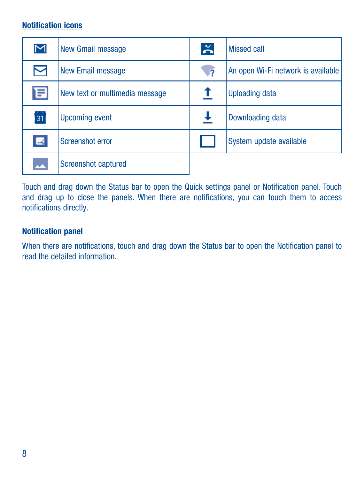### Notification icons

| $\overline{\mathsf{M}}$ | New Gmail message              | $\geq$     | Missed call                        |
|-------------------------|--------------------------------|------------|------------------------------------|
| 罓                       | New Email message              | $\sqrt{2}$ | An open Wi-Fi network is available |
| 目                       | New text or multimedia message | т          | <b>Uploading data</b>              |
| 31                      | <b>Upcoming event</b>          |            | Downloading data                   |
| $\blacksquare$          | Screenshot error               |            | System update available            |
|                         | <b>Screenshot captured</b>     |            |                                    |

Touch and drag down the Status bar to open the Quick settings panel or Notification panel. Touch and drag up to close the panels. When there are notifications, you can touch them to access notifications directly.

#### Notification panel

When there are notifications, touch and drag down the Status bar to open the Notification panel to read the detailed information.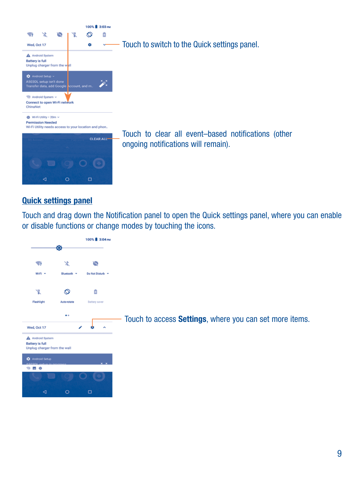

#### Quick settings panel

Touch and drag down the Notification panel to open the Quick settings panel, where you can enable or disable functions or change modes by touching the icons.

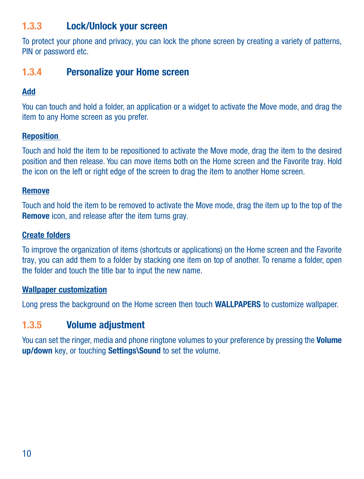#### 1.3.3 Lock/Unlock your screen

To protect your phone and privacy, you can lock the phone screen by creating a variety of patterns, PIN or password etc.

#### 1.3.4 Personalize your Home screen

#### Add

You can touch and hold a folder, an application or a widget to activate the Move mode, and drag the item to any Home screen as you prefer.

#### Reposition

Touch and hold the item to be repositioned to activate the Move mode, drag the item to the desired position and then release. You can move items both on the Home screen and the Favorite tray. Hold the icon on the left or right edge of the screen to drag the item to another Home screen.

#### Remove

Touch and hold the item to be removed to activate the Move mode, drag the item up to the top of the Remove icon, and release after the item turns gray.

#### Create folders

To improve the organization of items (shortcuts or applications) on the Home screen and the Favorite tray, you can add them to a folder by stacking one item on top of another. To rename a folder, open the folder and touch the title bar to input the new name.

#### Wallpaper customization

Long press the background on the Home screen then touch WALLPAPERS to customize wallpaper.

#### 1.3.5 Volume adjustment

You can set the ringer, media and phone ringtone volumes to your preference by pressing the Volume up/down key, or touching Settings\Sound to set the volume.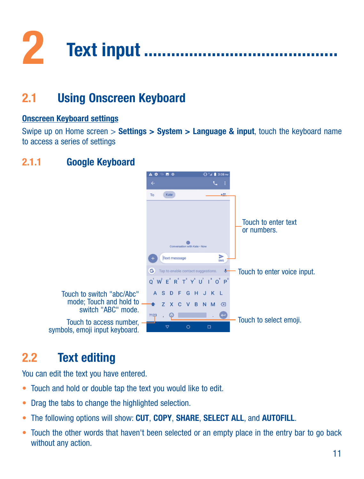<span id="page-12-0"></span>

#### $21$ **Using Onscreen Keyboard**

#### **Onscreen Keyboard settings**

Swipe up on Home screen  $>$  Settings  $>$  System  $>$  Language & input, touch the keyboard name to access a series of settings

#### $211$ **Google Keyboard**



#### $2.2$ **Text editing**

You can edit the text you have entered.

- . Touch and hold or double tap the text you would like to edit.
- Drag the tabs to change the highlighted selection.
- . The following options will show: CUT, COPY, SHARE, SELECT ALL, and AUTOFILL.
- Touch the other words that haven't been selected or an empty place in the entry bar to go back without any action.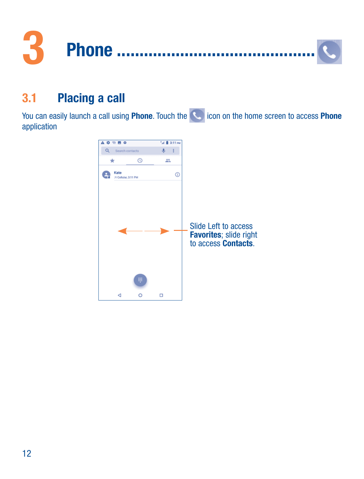<span id="page-13-0"></span>

#### $31$ **Placing a call**

You can easily launch a call using Phone. Touch the **C** icon on the home screen to access Phone application

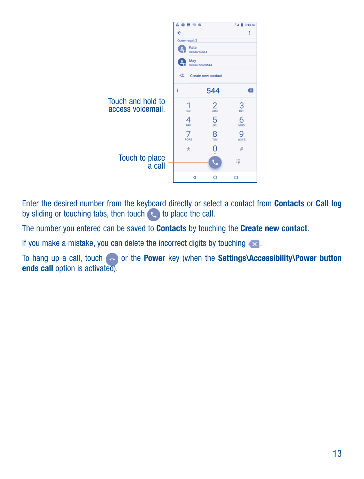

Enter the desired number from the keyboard directly or select a contact from Contacts or Call log by sliding or touching tabs, then touch to place the call.

The number you entered can be saved to Contacts by touching the Create new contact.

If you make a mistake, you can delete the incorrect digits by touching  $\ll$ .

To hang up a call, touch so or the Power key (when the Settings\Accessibility\Power button ends call option is activated).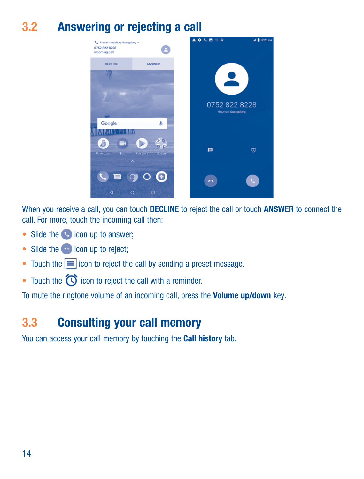# 3.2 Answering or rejecting a call



When you receive a call, you can touch DECLINE to reject the call or touch ANSWER to connect the call. For more, touch the incoming call then:

- Slide the **i**con up to answer:
- $\bullet$  Slide the  $\bullet$  icon up to reject:
- Touch the  $\equiv$  icon to reject the call by sending a preset message.
- Touch the  $\bigcirc$  icon to reject the call with a reminder.

To mute the ringtone volume of an incoming call, press the Volume up/down key.

## 3.3 Consulting your call memory

You can access your call memory by touching the Call history tab.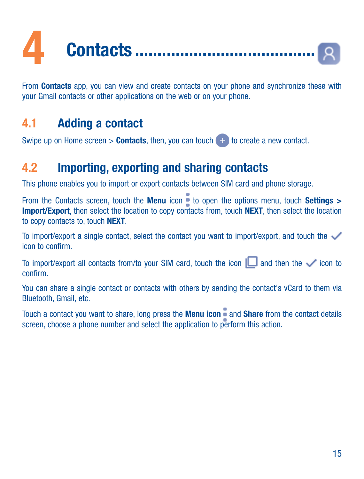<span id="page-16-0"></span>

From Contacts ann, you can view and create contacts on your phone and synchronize these with vour Gmail contacts or other applications on the web or on your phone.

#### 4.1 **Adding a contact**

Swipe up on Home screen  $>$  Contacts, then, you can touch  $\Box$  to create a new contact.

#### 4.2 Importing, exporting and sharing contacts

This phone enables you to import or export contacts between SIM card and phone storage

From the Contacts screen, touch the Menu icon  $\frac{1}{2}$  to open the options menu, touch Settings > Import/Export, then select the location to copy contacts from, touch NEXT, then select the location to conv contacts to, touch NEXT.

To import/export a single contact, select the contact you want to import/export, and touch the icon to confirm

To import/export all contacts from/to your SIM card, touch the icon  $\Box$  and then the  $\checkmark$  icon to confirm

You can share a single contact or contacts with others by sending the contact's yCard to them yia Bluetooth, Gmail, etc.

Touch a contact you want to share, long press the Menu icon  $\frac{1}{2}$  and Share from the contact details screen, choose a phone number and select the application to perform this action.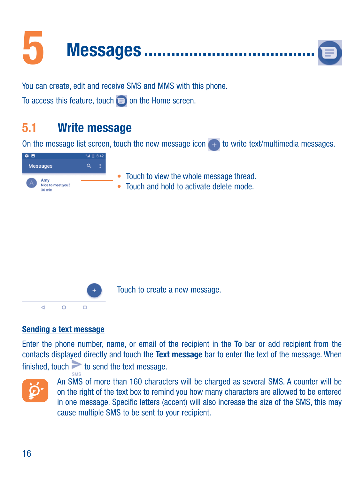<span id="page-17-0"></span>

You can create, edit and receive SMS and MMS with this phone.

To access this feature, touch  $\blacksquare$  on the Home screen.

#### $5.1$ **Write message**

On the message list screen, touch the new message icon (+) to write text/multimedia messages.





#### Sending a text message

Enter the phone number, name, or email of the recipient in the To bar or add recipient from the contacts displayed directly and touch the Text message bar to enter the text of the message. When finished, touch  $\geq$  to send the text message.



An SMS of more than 160 characters will be charged as several SMS. A counter will be on the right of the text box to remind you how many characters are allowed to be entered in one message. Specific letters (accent) will also increase the size of the SMS, this may cause multiple SMS to be sent to your recipient.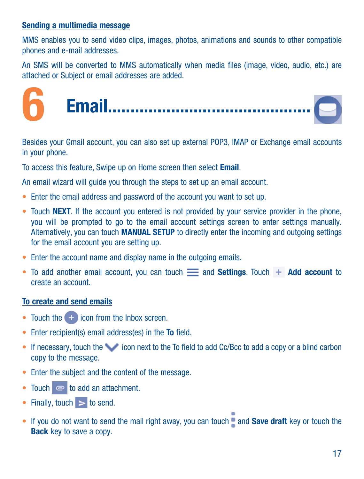#### <span id="page-18-0"></span>Sending a multimedia message

MMS enables you to send video clips, images, photos, animations and sounds to other compatible phones and e-mail addresses.

An SMS will be converted to MMS automatically when media files (image, video, audio, etc.) are attached or Subject or email addresses are added.

6 Email���������������������������������������������

Besides your Gmail account, you can also set up external POP3, IMAP or Exchange email accounts in your phone.

To access this feature, Swipe up on Home screen then select Email.

An email wizard will guide you through the steps to set up an email account.

- Enter the email address and password of the account you want to set up.
- Touch NEXT. If the account you entered is not provided by your service provider in the phone, you will be prompted to go to the email account settings screen to enter settings manually. Alternatively, you can touch **MANUAL SETUP** to directly enter the incoming and outgoing settings for the email account you are setting up.
- Enter the account name and display name in the outgoing emails.
- To add another email account, you can touch  $\equiv$  and Settings. Touch  $+$  Add account to create an account.

#### To create and send emails

- Touch the  $\Box$  icon from the Inbox screen.
- Enter recipient(s) email address(es) in the To field.
- If necessary, touch the icon next to the To field to add Cc/Bcc to add a copy or a blind carbon copy to the message.
- Enter the subject and the content of the message.
- Touch  $\bullet$  to add an attachment.
- Finally, touch  $>$  to send.
- If you do not want to send the mail right away, you can touch  $\bullet$  and Save draft key or touch the Back key to save a copy.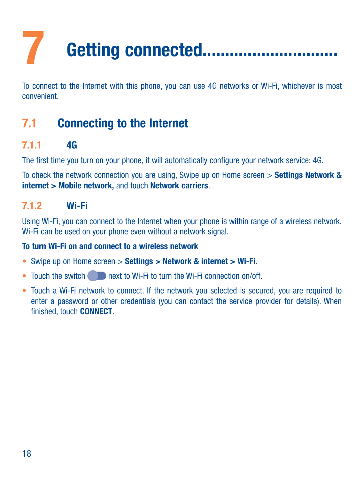# <span id="page-19-0"></span>Getting connected..................................

To connect to the Internet with this phone, you can use 4G networks or Wi-Fi, whichever is most convenient.

## 7.1 Connecting to the Internet

#### 7.1.1 4G

The first time you turn on your phone, it will automatically configure your network service: 4G.

To check the network connection you are using, Swipe up on Home screen > Settings Network & internet > Mobile network, and touch Network carriers.

### 7.1.2 Wi-Fi

Using Wi-Fi, you can connect to the Internet when your phone is within range of a wireless network. Wi-Fi can be used on your phone even without a network signal.

#### To turn Wi-Fi on and connect to a wireless network

- Swipe up on Home screen > Settings > Network & internet > Wi-Fi.
- Touch the switch  $\blacksquare$  next to Wi-Fi to turn the Wi-Fi connection on/off.
- • Touch a Wi-Fi network to connect. If the network you selected is secured, you are required to enter a password or other credentials (you can contact the service provider for details). When finished, touch CONNECT.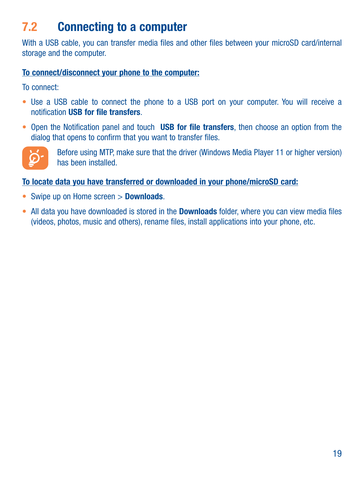# 7.2 Connecting to a computer

With a USB cable, you can transfer media files and other files between your microSD card/internal storage and the computer.

#### To connect/disconnect your phone to the computer:

To connect:

- Use a USB cable to connect the phone to a USB port on your computer. You will receive a notification USB for file transfers.
- Open the Notification panel and touch USB for file transfers, then choose an option from the dialog that opens to confirm that you want to transfer files.



Before using MTP, make sure that the driver (Windows Media Player 11 or higher version) has been installed.

#### To locate data you have transferred or downloaded in your phone/microSD card:

- Swipe up on Home screen > Downloads.
- All data you have downloaded is stored in the **Downloads** folder, where you can view media files (videos, photos, music and others), rename files, install applications into your phone, etc.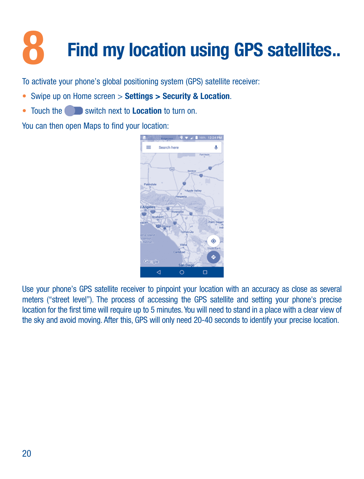# <span id="page-21-0"></span>Find my location using GPS satellites...

To activate your phone's global positioning system (GPS) satellite receiver:

- Swipe up on Home screen > Settings > Security & Location.
- Touch the switch next to Location to turn on.

You can then open Maps to find your location:



Use your phone's GPS satellite receiver to pinpoint your location with an accuracy as close as several meters ("street level"). The process of accessing the GPS satellite and setting your phone's precise location for the first time will require up to 5 minutes. You will need to stand in a place with a clear view of the sky and avoid moving. After this, GPS will only need 20-40 seconds to identify your precise location.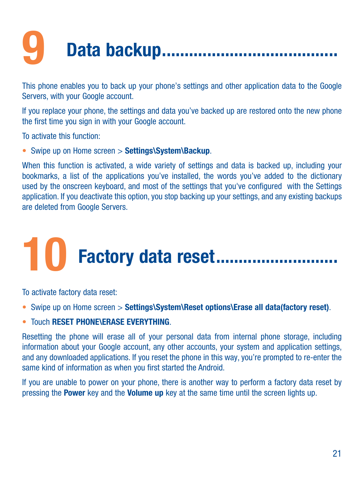# <span id="page-22-0"></span>Data backup................... ---------------

This phone enables you to back up your phone's settings and other application data to the Google Servers, with your Google account.

If you replace your phone, the settings and data you've backed up are restored onto the new phone the first time you sign in with your Google account.

To activate this function:

• Swipe up on Home screen > Settings\System\Backup.

When this function is activated, a wide variety of settings and data is backed up, including your bookmarks, a list of the applications you've installed, the words you've added to the dictionary used by the onscreen keyboard, and most of the settings that you've configured with the Settings application. If you deactivate this option, you stop backing up your settings, and any existing backups are deleted from Google Servers.

# Factory data reset.............................

To activate factory data reset:

- Swipe up on Home screen > Settings\System\Reset options\Erase all data(factory reset).
- . Touch RESET PHONE\ERASE EVERYTHING

Resetting the phone will erase all of your personal data from internal phone storage, including information about your Google account, any other accounts, your system and application settings, and any downloaded applications. If you reset the phone in this way, you're prompted to re-enter the same kind of information as when you first started the Android.

If you are unable to power on your phone, there is another way to perform a factory data reset by pressing the Power key and the Volume up key at the same time until the screen lights up.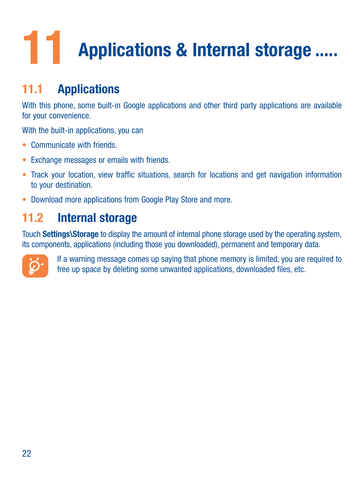# <span id="page-23-0"></span>11 Applications & Internal storage .....

# 11.1 Applications

With this phone, some built-in Google applications and other third party applications are available for your convenience.

With the built-in applications, you can

- Communicate with friends
- • Exchange messages or emails with friends.
- Track your location, view traffic situations, search for locations and get navigation information to your destination.
- Download more applications from Google Play Store and more.

# 11.2 Internal storage

Touch Settings\Storage to display the amount of internal phone storage used by the operating system, its components, applications (including those you downloaded), permanent and temporary data.



If a warning message comes up saying that phone memory is limited, you are required to free up space by deleting some unwanted applications, downloaded files, etc.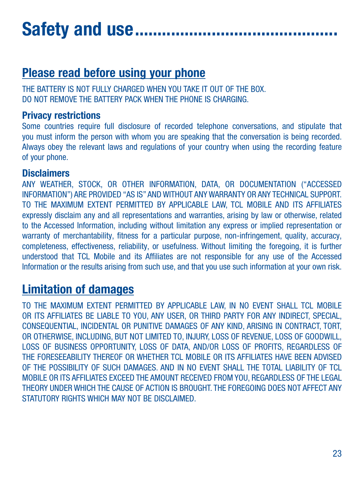# <span id="page-24-0"></span>Safety and use......

# Please read before using your phone

THE BATTERY IS NOT FULLY CHARGED WHEN YOU TAKE IT OUT OF THE BOX. DO NOT REMOVE THE BATTERY PACK WHEN THE PHONE IS CHARGING.

#### Privacy restrictions

Some countries require full disclosure of recorded telephone conversations, and stipulate that you must inform the person with whom you are speaking that the conversation is being recorded. Always obey the relevant laws and regulations of your country when using the recording feature of your phone.

#### **Disclaimers**

ANY WEATHER, STOCK, OR OTHER INFORMATION, DATA, OR DOCUMENTATION ("ACCESSED INFORMATION") ARE PROVIDED "AS IS" AND WITHOUT ANY WARRANTY OR ANY TECHNICAL SUPPORT. TO THE MAXIMUM EXTENT PERMITTED BY APPLICABLE LAW, TCL MOBILE AND ITS AFFILIATES expressly disclaim any and all representations and warranties, arising by law or otherwise, related to the Accessed Information, including without limitation any express or implied representation or warranty of merchantability, fitness for a particular purpose, non-infringement, quality, accuracy, completeness, effectiveness, reliability, or usefulness. Without limiting the foregoing, it is further understood that TCL Mobile and its Affiliates are not responsible for any use of the Accessed Information or the results arising from such use, and that you use such information at your own risk.

# Limitation of damages

TO THE MAXIMUM EXTENT PERMITTED BY APPLICABLE LAW, IN NO EVENT SHALL TCL MOBILE OR ITS AFFILIATES BE LIABLE TO YOU, ANY USER, OR THIRD PARTY FOR ANY INDIRECT, SPECIAL CONSEQUENTIAL, INCIDENTAL OR PUNITIVE DAMAGES OF ANY KIND, ARISING IN CONTRACT, TORT, OR OTHERWISE, INCLUDING, BUT NOT LIMITED TO, INJURY, LOSS OF REVENUE, LOSS OF GOODWILL, LOSS OF BUSINESS OPPORTUNITY, LOSS OF DATA, AND/OR LOSS OF PROFITS, REGARDLESS OF THE FORESEEABILITY THEREOF OR WHETHER TCL MOBILE OR ITS AFFILIATES HAVE BEEN ADVISED OF THE POSSIBILITY OF SUCH DAMAGES. AND IN NO EVENT SHALL THE TOTAL LIABILITY OF TCL MOBILE OR ITS AFFILIATES EXCEED THE AMOUNT RECEIVED FROM YOU, REGARDLESS OF THE LEGAL THEORY UNDER WHICH THE CAUSE OF ACTION IS BROUGHT. THE FOREGOING DOES NOT AFFECT ANY STATUTORY RIGHTS WHICH MAY NOT BE DISCLAIMED.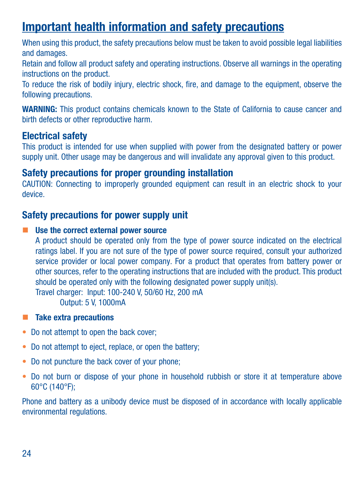## Important health information and safety precautions

When using this product, the safety precautions below must be taken to avoid possible legal liabilities and damages.

Retain and follow all product safety and operating instructions. Observe all warnings in the operating instructions on the product.

To reduce the risk of bodily injury, electric shock, fire, and damage to the equipment, observe the following precautions.

WARNING: This product contains chemicals known to the State of California to cause cancer and birth defects or other reproductive harm.

#### Electrical safety

This product is intended for use when supplied with power from the designated battery or power supply unit. Other usage may be dangerous and will invalidate any approval given to this product.

#### Safety precautions for proper grounding installation

CAUTION: Connecting to improperly grounded equipment can result in an electric shock to your device.

#### Safety precautions for power supply unit

#### ■ Use the correct external power source

A product should be operated only from the type of power source indicated on the electrical ratings label. If you are not sure of the type of power source required, consult your authorized service provider or local power company. For a product that operates from battery power or other sources, refer to the operating instructions that are included with the product. This product should be operated only with the following designated power supply unit(s). Travel charger: Input: 100-240 V, 50/60 Hz, 200 mA Output: 5 V, 1000mA

- Take extra precautions
- Do not attempt to open the back cover:
- Do not attempt to eject, replace, or open the battery;
- Do not puncture the back cover of your phone:
- Do not burn or dispose of your phone in household rubbish or store it at temperature above 60°C (140°F);

Phone and battery as a unibody device must be disposed of in accordance with locally applicable environmental regulations.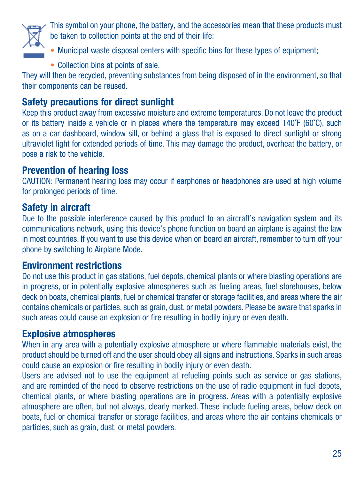

This symbol on your phone, the battery, and the accessories mean that these products must be taken to collection points at the end of their life:

- Municipal waste disposal centers with specific bins for these types of equipment;
- • Collection bins at points of sale.

They will then be recycled, preventing substances from being disposed of in the environment, so that their components can be reused.

### Safety precautions for direct sunlight

Keep this product away from excessive moisture and extreme temperatures. Do not leave the product or its battery inside a vehicle or in places where the temperature may exceed 140˚F (60˚C), such as on a car dashboard, window sill, or behind a glass that is exposed to direct sunlight or strong ultraviolet light for extended periods of time. This may damage the product, overheat the battery, or pose a risk to the vehicle.

#### Prevention of hearing loss

CAUTION: Permanent hearing loss may occur if earphones or headphones are used at high volume for prolonged periods of time.

#### Safety in aircraft

Due to the possible interference caused by this product to an aircraft's navigation system and its communications network, using this device's phone function on board an airplane is against the law in most countries. If you want to use this device when on board an aircraft, remember to turn off your phone by switching to Airplane Mode.

#### Environment restrictions

Do not use this product in gas stations, fuel depots, chemical plants or where blasting operations are in progress, or in potentially explosive atmospheres such as fueling areas, fuel storehouses, below deck on boats, chemical plants, fuel or chemical transfer or storage facilities, and areas where the air contains chemicals or particles, such as grain, dust, or metal powders. Please be aware that sparks in such areas could cause an explosion or fire resulting in bodily injury or even death.

#### Explosive atmospheres

When in any area with a potentially explosive atmosphere or where flammable materials exist, the product should be turned off and the user should obey all signs and instructions. Sparks in such areas could cause an explosion or fire resulting in bodily injury or even death.

Users are advised not to use the equipment at refueling points such as service or gas stations, and are reminded of the need to observe restrictions on the use of radio equipment in fuel depots, chemical plants, or where blasting operations are in progress. Areas with a potentially explosive atmosphere are often, but not always, clearly marked. These include fueling areas, below deck on boats, fuel or chemical transfer or storage facilities, and areas where the air contains chemicals or particles, such as grain, dust, or metal powders.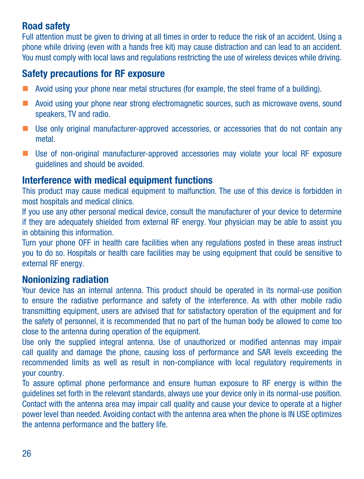#### Road safety

Full attention must be given to driving at all times in order to reduce the risk of an accident. Using a phone while driving (even with a hands free kit) may cause distraction and can lead to an accident. You must comply with local laws and regulations restricting the use of wireless devices while driving.

## Safety precautions for RF exposure

- **Avoid using your phone near metal structures (for example, the steel frame of a building)**.
- **Avoid using your phone near strong electromagnetic sources, such as microwave ovens, sound** speakers, TV and radio.
- Use only original manufacturer-approved accessories, or accessories that do not contain any metal.
- Use of non-original manufacturer-approved accessories may violate your local RF exposure guidelines and should be avoided.

#### Interference with medical equipment functions

This product may cause medical equipment to malfunction. The use of this device is forbidden in most hospitals and medical clinics.

If you use any other personal medical device, consult the manufacturer of your device to determine if they are adequately shielded from external RF energy. Your physician may be able to assist you in obtaining this information.

Turn your phone OFF in health care facilities when any regulations posted in these areas instruct you to do so. Hospitals or health care facilities may be using equipment that could be sensitive to external RF energy.

#### Nonionizing radiation

Your device has an internal antenna. This product should be operated in its normal-use position to ensure the radiative performance and safety of the interference. As with other mobile radio transmitting equipment, users are advised that for satisfactory operation of the equipment and for the safety of personnel, it is recommended that no part of the human body be allowed to come too close to the antenna during operation of the equipment.

Use only the supplied integral antenna. Use of unauthorized or modified antennas may impair call quality and damage the phone, causing loss of performance and SAR levels exceeding the recommended limits as well as result in non-compliance with local regulatory requirements in your country.

To assure optimal phone performance and ensure human exposure to RF energy is within the guidelines set forth in the relevant standards, always use your device only in its normal-use position. Contact with the antenna area may impair call quality and cause your device to operate at a higher power level than needed. Avoiding contact with the antenna area when the phone is IN USE optimizes the antenna performance and the battery life.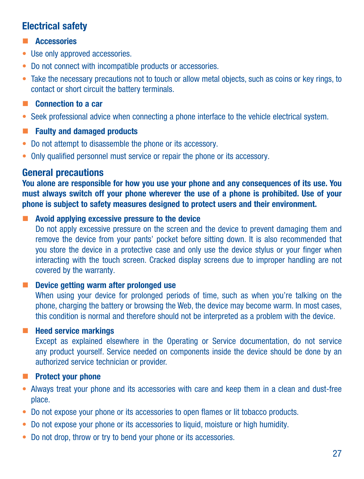### Electrical safety

- **Accessories**
- Use only approved accessories.
- Do not connect with incompatible products or accessories.
- • Take the necessary precautions not to touch or allow metal objects, such as coins or key rings, to contact or short circuit the battery terminals.
- **Connection to a car**
- • Seek professional advice when connecting a phone interface to the vehicle electrical system.
- **Faulty and damaged products**
- Do not attempt to disassemble the phone or its accessory.
- Only qualified personnel must service or repair the phone or its accessory.

#### General precautions

You alone are responsible for how you use your phone and any consequences of its use. You must always switch off your phone wherever the use of a phone is prohibited. Use of your phone is subject to safety measures designed to protect users and their environment.

 $\blacksquare$  Avoid applying excessive pressure to the device

Do not apply excessive pressure on the screen and the device to prevent damaging them and remove the device from your pants' pocket before sitting down. It is also recommended that you store the device in a protective case and only use the device stylus or your finger when interacting with the touch screen. Cracked display screens due to improper handling are not covered by the warranty.

#### Device getting warm after prolonged use

When using your device for prolonged periods of time, such as when you're talking on the phone, charging the battery or browsing the Web, the device may become warm. In most cases, this condition is normal and therefore should not be interpreted as a problem with the device.

#### $H$  Heed service markings

Except as explained elsewhere in the Operating or Service documentation, do not service any product yourself. Service needed on components inside the device should be done by an authorized service technician or provider.

- **Protect your phone**
- Always treat your phone and its accessories with care and keep them in a clean and dust-free place.
- Do not expose your phone or its accessories to open flames or lit tobacco products.
- Do not expose your phone or its accessories to liquid, moisture or high humidity.
- Do not drop, throw or try to bend your phone or its accessories.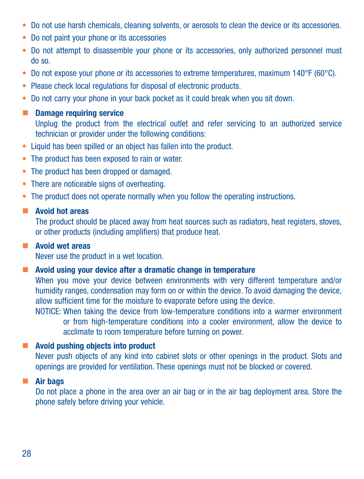- • Do not use harsh chemicals, cleaning solvents, or aerosols to clean the device or its accessories.
- • Do not paint your phone or its accessories
- Do not attempt to disassemble your phone or its accessories, only authorized personnel must do so.
- Do not expose your phone or its accessories to extreme temperatures, maximum 140°F (60°C).
- Please check local regulations for disposal of electronic products.
- Do not carry your phone in your back pocket as it could break when you sit down.

#### **Damage requiring service**

Unplug the product from the electrical outlet and refer servicing to an authorized service technician or provider under the following conditions:

- Liquid has been spilled or an object has fallen into the product.
- The product has been exposed to rain or water.
- The product has been dropped or damaged.
- There are noticeable signs of overheating.
- The product does not operate normally when you follow the operating instructions.

#### **Avoid hot areas**

The product should be placed away from heat sources such as radiators, heat registers, stoves, or other products (including amplifiers) that produce heat.

#### **Avoid wet areas**

Never use the product in a wet location.

#### **Avoid using your device after a dramatic change in temperature**

When you move your device between environments with very different temperature and/or humidity ranges, condensation may form on or within the device. To avoid damaging the device, allow sufficient time for the moisture to evaporate before using the device.

NOTICE: When taking the device from low-temperature conditions into a warmer environment or from high-temperature conditions into a cooler environment, allow the device to acclimate to room temperature before turning on power.

#### ■ Avoid pushing objects into product

Never push objects of any kind into cabinet slots or other openings in the product. Slots and openings are provided for ventilation. These openings must not be blocked or covered.

#### ■ Air bags

Do not place a phone in the area over an air bag or in the air bag deployment area. Store the phone safely before driving your vehicle.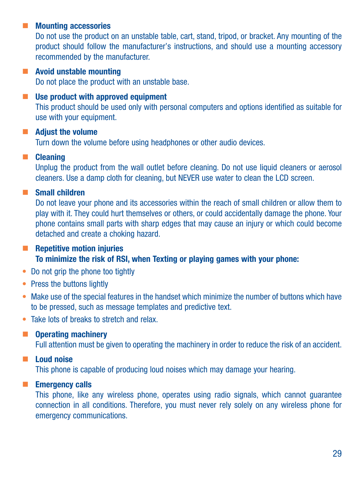#### **Mounting accessories**

Do not use the product on an unstable table, cart, stand, tripod, or bracket. Any mounting of the product should follow the manufacturer's instructions, and should use a mounting accessory recommended by the manufacturer.

#### **Avoid unstable mounting**

Do not place the product with an unstable base.

#### **Use product with approved equipment**

This product should be used only with personal computers and options identified as suitable for use with your equipment.

#### **Adjust the volume**

Turn down the volume before using headphones or other audio devices.

#### **E** Cleaning

Unplug the product from the wall outlet before cleaning. Do not use liquid cleaners or aerosol cleaners. Use a damp cloth for cleaning, but NEVER use water to clean the LCD screen.

#### Small children

Do not leave your phone and its accessories within the reach of small children or allow them to play with it. They could hurt themselves or others, or could accidentally damage the phone. Your phone contains small parts with sharp edges that may cause an injury or which could become detached and create a choking hazard.

#### $\blacksquare$  Repetitive motion injuries To minimize the risk of RSI, when Texting or playing games with your phone:

- Do not grip the phone too tightly
- Press the buttons lightly
- Make use of the special features in the handset which minimize the number of buttons which have to be pressed, such as message templates and predictive text.
- Take lots of breaks to stretch and relay.

#### **Operating machinery**

Full attention must be given to operating the machinery in order to reduce the risk of an accident.

#### Loud noise

This phone is capable of producing loud noises which may damage your hearing.

#### **Emergency calls**

This phone, like any wireless phone, operates using radio signals, which cannot guarantee connection in all conditions. Therefore, you must never rely solely on any wireless phone for emergency communications.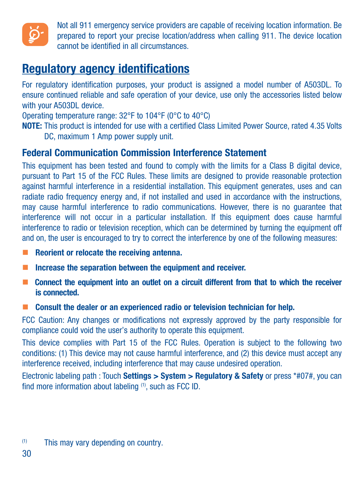

Not all 911 emergency service providers are capable of receiving location information. Be prepared to report your precise location/address when calling 911. The device location cannot be identified in all circumstances.

## Regulatory agency identifications

For regulatory identification purposes, your product is assigned a model number of A503DL. To ensure continued reliable and safe operation of your device, use only the accessories listed below with your A503DL device.

Operating temperature range: 32°F to 104°F (0°C to 40°C)

NOTE: This product is intended for use with a certified Class Limited Power Source, rated 4.35 Volts DC, maximum 1 Amp power supply unit.

#### Federal Communication Commission Interference Statement

This equipment has been tested and found to comply with the limits for a Class B digital device, pursuant to Part 15 of the FCC Rules. These limits are designed to provide reasonable protection against harmful interference in a residential installation. This equipment generates, uses and can radiate radio frequency energy and, if not installed and used in accordance with the instructions may cause harmful interference to radio communications. However, there is no guarantee that interference will not occur in a particular installation. If this equipment does cause harmful interference to radio or television reception, which can be determined by turning the equipment off and on, the user is encouraged to try to correct the interference by one of the following measures:

- Reorient or relocate the receiving antenna.
- $\blacksquare$  Increase the separation between the equipment and receiver.
- Connect the equipment into an outlet on a circuit different from that to which the receiver is connected.
- Consult the dealer or an experienced radio or television technician for help.

FCC Caution: Any changes or modifications not expressly approved by the party responsible for compliance could void the user's authority to operate this equipment.

This device complies with Part 15 of the FCC Rules. Operation is subject to the following two conditions: (1) This device may not cause harmful interference, and (2) this device must accept any interference received, including interference that may cause undesired operation.

Electronic labeling path : Touch Settings > System > Regulatory & Safety or press \*#07#, you can find more information about labeling (1), such as FCC ID.

<sup>(1)</sup> This may vary depending on country.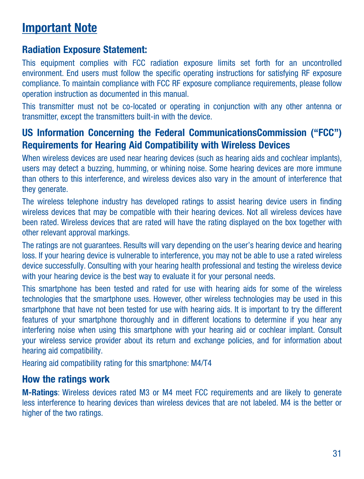## Important Note

#### Radiation Exposure Statement:

This equipment complies with FCC radiation exposure limits set forth for an uncontrolled environment. End users must follow the specific operating instructions for satisfying RF exposure compliance. To maintain compliance with FCC RF exposure compliance requirements, please follow operation instruction as documented in this manual.

This transmitter must not be co-located or operating in conjunction with any other antenna or transmitter, except the transmitters built-in with the device.

### US Information Concerning the Federal CommunicationsCommission ("FCC") Requirements for Hearing Aid Compatibility with Wireless Devices

When wireless devices are used near hearing devices (such as hearing aids and cochlear implants), users may detect a buzzing, humming, or whining noise. Some hearing devices are more immune than others to this interference, and wireless devices also vary in the amount of interference that they generate.

The wireless telephone industry has developed ratings to assist hearing device users in finding wireless devices that may be compatible with their hearing devices. Not all wireless devices have been rated. Wireless devices that are rated will have the rating displayed on the box together with other relevant approval markings.

The ratings are not guarantees. Results will vary depending on the user's hearing device and hearing loss. If your hearing device is vulnerable to interference, you may not be able to use a rated wireless device successfully. Consulting with your hearing health professional and testing the wireless device with your hearing device is the best way to evaluate it for your personal needs.

This smartphone has been tested and rated for use with hearing aids for some of the wireless technologies that the smartphone uses. However, other wireless technologies may be used in this smartphone that have not been tested for use with hearing aids. It is important to try the different features of your smartphone thoroughly and in different locations to determine if you hear any interfering noise when using this smartphone with your hearing aid or cochlear implant. Consult your wireless service provider about its return and exchange policies, and for information about hearing aid compatibility.

Hearing aid compatibility rating for this smartphone: M4/T4

#### How the ratings work

M-Ratings: Wireless devices rated M3 or M4 meet FCC requirements and are likely to generate less interference to hearing devices than wireless devices that are not labeled. M4 is the better or higher of the two ratings.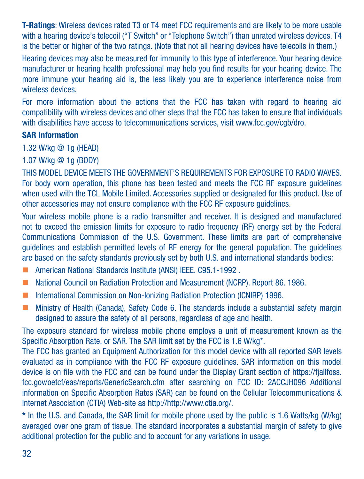T-Ratings: Wireless devices rated T3 or T4 meet FCC requirements and are likely to be more usable with a hearing device's telecoil ("T Switch" or "Telephone Switch") than unrated wireless devices. T4 is the better or higher of the two ratings. (Note that not all hearing devices have telecoils in them.)

Hearing devices may also be measured for immunity to this type of interference. Your hearing device manufacturer or hearing health professional may help you find results for your hearing device. The more immune your hearing aid is, the less likely you are to experience interference noise from wireless devices.

For more information about the actions that the FCC has taken with regard to hearing aid compatibility with wireless devices and other steps that the FCC has taken to ensure that individuals with disabilities have access to telecommunications services, visit www.fcc.gov/cgb/dro.

#### SAR Information

1.32 W/kg @ 1g (HEAD)

1.07 W/kg @ 1g (BODY)

THIS MODEL DEVICE MEETS THE GOVERNMENT'S REQUIREMENTS FOR EXPOSURE TO RADIO WAVES. For body worn operation, this phone has been tested and meets the FCC RF exposure guidelines when used with the TCL Mobile Limited. Accessories supplied or designated for this product. Use of other accessories may not ensure compliance with the FCC RF exposure guidelines.

Your wireless mobile phone is a radio transmitter and receiver. It is designed and manufactured not to exceed the emission limits for exposure to radio frequency (RF) energy set by the Federal Communications Commission of the U.S. Government. These limits are part of comprehensive guidelines and establish permitted levels of RF energy for the general population. The guidelines are based on the safety standards previously set by both U.S. and international standards bodies:

- American National Standards Institute (ANSI) IEEE, C95.1-1992
- National Council on Radiation Protection and Measurement (NCRP). Report 86, 1986.
- International Commission on Non-Ionizing Radiation Protection (ICNIRP) 1996.
- **Ministry of Health (Canada), Safety Code 6. The standards include a substantial safety margin** designed to assure the safety of all persons, regardless of age and health.

The exposure standard for wireless mobile phone employs a unit of measurement known as the Specific Absorption Rate, or SAR. The SAR limit set by the FCC is 1.6 W/kg\*.

The FCC has granted an Equipment Authorization for this model device with all reported SAR levels evaluated as in compliance with the FCC RF exposure guidelines. SAR information on this model device is on file with the FCC and can be found under the Display Grant section of https://fjallfoss. fcc.gov/oetcf/eas/reports/GenericSearch.cfm after searching on FCC ID: 2ACCJH096 Additional information on Specific Absorption Rates (SAR) can be found on the Cellular Telecommunications & Internet Association (CTIA) Web-site as http://http://www.ctia.org/.

\* In the U.S. and Canada, the SAR limit for mobile phone used by the public is 1.6 Watts/kg (W/kg) averaged over one gram of tissue. The standard incorporates a substantial margin of safety to give additional protection for the public and to account for any variations in usage.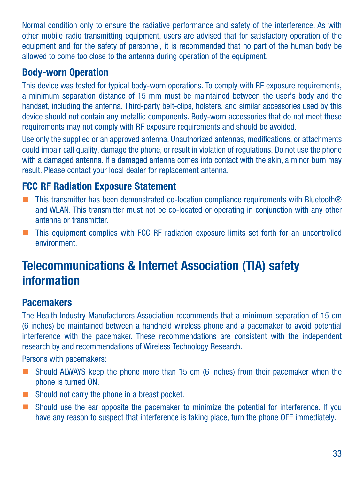Normal condition only to ensure the radiative performance and safety of the interference. As with other mobile radio transmitting equipment, users are advised that for satisfactory operation of the equipment and for the safety of personnel, it is recommended that no part of the human body be allowed to come too close to the antenna during operation of the equipment.

#### Body-worn Operation

This device was tested for typical body-worn operations. To comply with RF exposure requirements, a minimum separation distance of 15 mm must be maintained between the user's body and the handset, including the antenna. Third-party belt-clips, holsters, and similar accessories used by this device should not contain any metallic components. Body-worn accessories that do not meet these requirements may not comply with RF exposure requirements and should be avoided.

Use only the supplied or an approved antenna. Unauthorized antennas, modifications, or attachments could impair call quality, damage the phone, or result in violation of regulations. Do not use the phone with a damaged antenna. If a damaged antenna comes into contact with the skin, a minor burn may result. Please contact your local dealer for replacement antenna.

#### FCC RF Radiation Exposure Statement

- This transmitter has been demonstrated co-location compliance requirements with Bluetooth<sup>®</sup> and WLAN. This transmitter must not be co-located or operating in conjunction with any other antenna or transmitter.
- This equipment complies with FCC RF radiation exposure limits set forth for an uncontrolled environment.

# Telecommunications & Internet Association (TIA) safety information

#### Pacemakers

The Health Industry Manufacturers Association recommends that a minimum separation of 15 cm (6 inches) be maintained between a handheld wireless phone and a pacemaker to avoid potential interference with the pacemaker. These recommendations are consistent with the independent research by and recommendations of Wireless Technology Research.

Persons with pacemakers:

- Should ALWAYS keep the phone more than 15 cm (6 inches) from their pacemaker when the phone is turned ON.
- Should not carry the phone in a breast pocket.
- Should use the ear opposite the pacemaker to minimize the potential for interference. If you have any reason to suspect that interference is taking place, turn the phone OFF immediately.